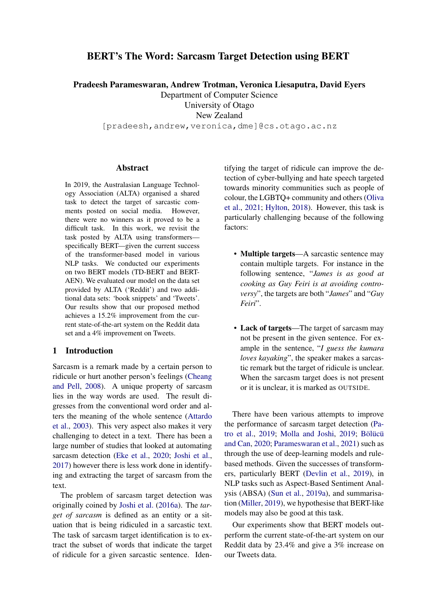# BERT's The Word: Sarcasm Target Detection using BERT

Pradeesh Parameswaran, Andrew Trotman, Veronica Liesaputra, David Eyers

Department of Computer Science University of Otago

New Zealand

[pradeesh,andrew,veronica,dme]@cs.otago.ac.nz

## Abstract

In 2019, the Australasian Language Technology Association (ALTA) organised a shared task to detect the target of sarcastic comments posted on social media. However, there were no winners as it proved to be a difficult task. In this work, we revisit the task posted by ALTA using transformers specifically BERT—given the current success of the transformer-based model in various NLP tasks. We conducted our experiments on two BERT models (TD-BERT and BERT-AEN). We evaluated our model on the data set provided by ALTA ('Reddit') and two additional data sets: 'book snippets' and 'Tweets'. Our results show that our proposed method achieves a 15.2% improvement from the current state-of-the-art system on the Reddit data set and a 4% improvement on Tweets.

# 1 Introduction

Sarcasm is a remark made by a certain person to ridicule or hurt another person's feelings [\(Cheang](#page-5-0) [and Pell,](#page-5-0) [2008\)](#page-5-0). A unique property of sarcasm lies in the way words are used. The result digresses from the conventional word order and alters the meaning of the whole sentence [\(Attardo](#page-4-0) [et al.,](#page-4-0) [2003\)](#page-4-0). This very aspect also makes it very challenging to detect in a text. There has been a large number of studies that looked at automating sarcasm detection [\(Eke et al.,](#page-5-1) [2020;](#page-5-1) [Joshi et al.,](#page-5-2) [2017\)](#page-5-2) however there is less work done in identifying and extracting the target of sarcasm from the text.

The problem of sarcasm target detection was originally coined by [Joshi et al.](#page-5-3) [\(2016a\)](#page-5-3). The *target of sarcasm* is defined as an entity or a situation that is being ridiculed in a sarcastic text. The task of sarcasm target identification is to extract the subset of words that indicate the target of ridicule for a given sarcastic sentence. Identifying the target of ridicule can improve the detection of cyber-bullying and hate speech targeted towards minority communities such as people of colour, the LGBTQ+ community and others [\(Oliva](#page-6-0) [et al.,](#page-6-0) [2021;](#page-6-0) [Hylton,](#page-5-4) [2018\)](#page-5-4). However, this task is particularly challenging because of the following factors:

- Multiple targets—A sarcastic sentence may contain multiple targets. For instance in the following sentence, "*James is as good at cooking as Guy Feiri is at avoiding controversy*", the targets are both "*James*" and "*Guy Feiri*".
- Lack of targets—The target of sarcasm may not be present in the given sentence. For example in the sentence, "*I guess the kumara loves kayaking*", the speaker makes a sarcastic remark but the target of ridicule is unclear. When the sarcasm target does is not present or it is unclear, it is marked as OUTSIDE.

There have been various attempts to improve the performance of sarcasm target detection [\(Pa](#page-6-1)[tro et al.,](#page-6-1) [2019;](#page-6-2) [Molla and Joshi,](#page-6-2) 2019; Bölücü [and Can,](#page-5-5) [2020;](#page-5-5) [Parameswaran et al.,](#page-6-3) [2021\)](#page-6-3) such as through the use of deep-learning models and rulebased methods. Given the successes of transformers, particularly BERT [\(Devlin et al.,](#page-5-6) [2019\)](#page-5-6), in NLP tasks such as Aspect-Based Sentiment Analysis (ABSA) [\(Sun et al.,](#page-6-4) [2019a\)](#page-6-4), and summarisation [\(Miller,](#page-5-7) [2019\)](#page-5-7), we hypothesise that BERT-like models may also be good at this task.

Our experiments show that BERT models outperform the current state-of-the-art system on our Reddit data by 23.4% and give a 3% increase on our Tweets data.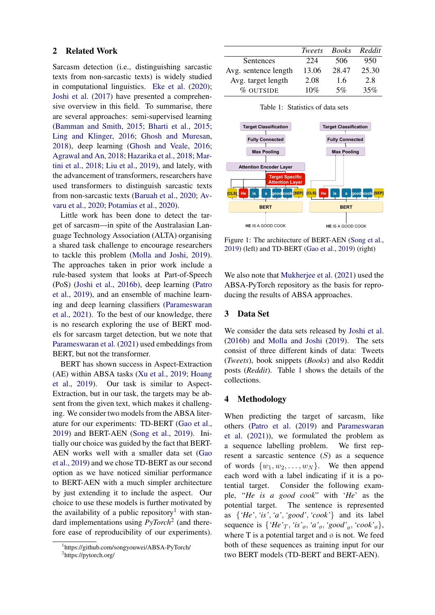### 2 Related Work

Sarcasm detection (i.e., distinguishing sarcastic texts from non-sarcastic texts) is widely studied in computational linguistics. [Eke et al.](#page-5-1) [\(2020\)](#page-5-1); [Joshi et al.](#page-5-2) [\(2017\)](#page-5-2) have presented a comprehensive overview in this field. To summarise, there are several approaches: semi-supervised learning [\(Bamman and Smith,](#page-5-8) [2015;](#page-5-8) [Bharti et al.,](#page-5-9) [2015;](#page-5-9) [Ling and Klinger,](#page-5-10) [2016;](#page-5-10) [Ghosh and Muresan,](#page-5-11) [2018\)](#page-5-11), deep learning [\(Ghosh and Veale,](#page-5-12) [2016;](#page-5-12) [Agrawal and An,](#page-4-1) [2018;](#page-4-1) [Hazarika et al.,](#page-5-13) [2018;](#page-5-13) [Mar](#page-5-14)[tini et al.,](#page-5-14) [2018;](#page-5-14) [Liu et al.,](#page-5-15) [2019\)](#page-5-15), and lately, with the advancement of transformers, researchers have used transformers to distinguish sarcastic texts from non-sarcastic texts [\(Baruah et al.,](#page-5-16) [2020;](#page-5-16) [Av](#page-5-17)[varu et al.,](#page-5-17) [2020;](#page-5-17) [Potamias et al.,](#page-6-5) [2020\)](#page-6-5).

Little work has been done to detect the target of sarcasm—in spite of the Australasian Language Technology Association (ALTA) organising a shared task challenge to encourage researchers to tackle this problem [\(Molla and Joshi,](#page-6-2) [2019\)](#page-6-2). The approaches taken in prior work include a rule-based system that looks at Part-of-Speech (PoS) [\(Joshi et al.,](#page-5-18) [2016b\)](#page-5-18), deep learning [\(Patro](#page-6-1) [et al.,](#page-6-1) [2019\)](#page-6-1), and an ensemble of machine learning and deep learning classifiers [\(Parameswaran](#page-6-3) [et al.,](#page-6-3) [2021\)](#page-6-3). To the best of our knowledge, there is no research exploring the use of BERT models for sarcasm target detection, but we note that [Parameswaran et al.](#page-6-3) [\(2021\)](#page-6-3) used embeddings from BERT, but not the transformer.

BERT has shown success in Aspect-Extraction (AE) within ABSA tasks [\(Xu et al.,](#page-6-6) [2019;](#page-6-6) [Hoang](#page-5-19) [et al.,](#page-5-19) [2019\)](#page-5-19). Our task is similar to Aspect-Extraction, but in our task, the targets may be absent from the given text, which makes it challenging. We consider two models from the ABSA literature for our experiments: TD-BERT [\(Gao et al.,](#page-5-20) [2019\)](#page-5-20) and BERT-AEN [\(Song et al.,](#page-6-7) [2019\)](#page-6-7). Initially our choice was guided by the fact that BERT-AEN works well with a smaller data set [\(Gao](#page-5-20) [et al.,](#page-5-20) [2019\)](#page-5-20) and we chose TD-BERT as our second option as we have noticed similiar performance to BERT-AEN with a much simpler architecture by just extending it to include the aspect. Our choice to use these models is further motivated by the availability of a public repository<sup>[1](#page-1-0)</sup> with standard implementations using *PyTorch*[2](#page-1-1) (and therefore ease of reproducibility of our experiments).

<span id="page-1-0"></span><sup>1</sup> https://github.com/songyouwei/ABSA-PyTorch/

<span id="page-1-1"></span>

<span id="page-1-2"></span>

|                      | Tweets | <b>Books</b> | Reddit |
|----------------------|--------|--------------|--------|
| Sentences            | 224    | 506          | 950    |
| Avg. sentence length | 13.06  | 28.47        | 25.30  |
| Avg. target length   | 2.08   | 1.6          | 2.8    |
| $\%$ OUTSIDE         | 10%    | 5%           | 35%    |

<span id="page-1-3"></span>

Figure 1: The architecture of BERT-AEN [\(Song et al.,](#page-6-7) [2019\)](#page-6-7) (left) and TD-BERT [\(Gao et al.,](#page-5-20) [2019\)](#page-5-20) (right)

We also note that [Mukherjee et al.](#page-6-8) [\(2021\)](#page-6-8) used the ABSA-PyTorch repository as the basis for reproducing the results of ABSA approaches.

### 3 Data Set

We consider the data sets released by [Joshi et al.](#page-5-18) [\(2016b\)](#page-5-18) and [Molla and Joshi](#page-6-2) [\(2019\)](#page-6-2). The sets consist of three different kinds of data: Tweets (*Tweets*), book snippets (*Books*) and also Reddit posts (*Reddit*). Table [1](#page-1-2) shows the details of the collections.

### 4 Methodology

When predicting the target of sarcasm, like others [\(Patro et al.](#page-6-1) [\(2019\)](#page-6-1) and [Parameswaran](#page-6-3) [et al.](#page-6-3) [\(2021\)](#page-6-3)), we formulated the problem as a sequence labelling problem. We first represent a sarcastic sentence  $(S)$  as a sequence of words  $\{w_1, w_2, \ldots, w_N\}$ . We then append each word with a label indicating if it is a potential target. Consider the following example, "*He is a good cook*" with '*He*' as the potential target. The sentence is represented as {*'He'*, *'is'*, *'a'*, *'good'*, *'cook'*} and its label sequence is  $\{ He'_{T}$ , *'is'*<sub>ø</sub>, *'a'*<sub>ø</sub>, *'good'*<sub>ø</sub>, *'cook'*<sup>ø</sup>}, where T is a potential target and  $\varphi$  is not. We feed both of these sequences as training input for our two BERT models (TD-BERT and BERT-AEN).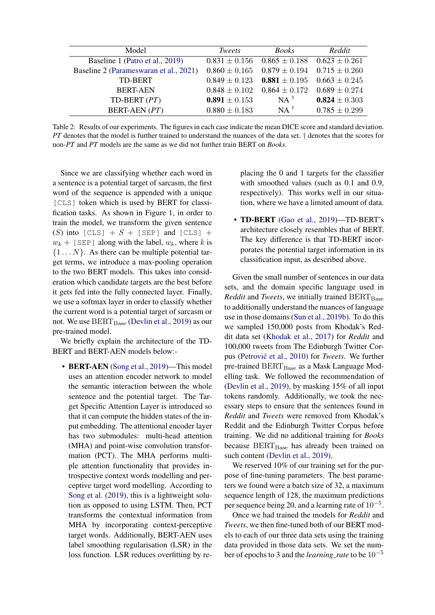<span id="page-2-0"></span>

| Model                                  | Tweets            | <b>Books</b>                                          | Reddit            |
|----------------------------------------|-------------------|-------------------------------------------------------|-------------------|
| Baseline 1 (Patro et al., 2019)        |                   | $0.831 \pm 0.156$ $0.865 \pm 0.188$ $0.623 \pm 0.261$ |                   |
| Baseline 2 (Parameswaran et al., 2021) |                   | $0.860 \pm 0.165$ $0.879 \pm 0.194$ $0.715 \pm 0.260$ |                   |
| <b>TD-BERT</b>                         | $0.849 \pm 0.123$ | <b>0.881</b> $\pm$ 0.195 0.663 $\pm$ 0.245            |                   |
| <b>BERT-AEN</b>                        | $0.848 \pm 0.102$ | $0.864 \pm 0.172$                                     | $0.689 \pm 0.274$ |
| TD-BERT $(PT)$                         | $0.891 \pm 0.153$ | $NA^{\dagger}$                                        | $0.824 \pm 0.303$ |
| <b>BERT-AEN</b> (PT)                   | $0.880 \pm 0.183$ | $NA^{\dagger}$                                        | $0.785 \pm 0.299$ |

Table 2: Results of our experiments. The figures in each case indicate the mean DICE score and standard deviation. *PT* denotes that the model is further trained to understand the nuances of the data set. † denotes that the scores for non-*PT* and *PT* models are the same as we did not further train BERT on *Books*.

Since we are classifying whether each word in a sentence is a potential target of sarcasm, the first word of the sequence is appended with a unique [CLS] token which is used by BERT for classification tasks. As shown in Figure [1,](#page-1-3) in order to train the model, we transform the given sentence (S) into  $[CLS] + S + [SEP]$  and  $[CLS] +$  $w_k$  + [SEP] along with the label,  $w_k$ , where k is  ${1...N}$ . As there can be multiple potential target terms, we introduce a max-pooling operation to the two BERT models. This takes into consideration which candidate targets are the best before it gets fed into the fully connected layer. Finally, we use a softmax layer in order to classify whether the current word is a potential target of sarcasm or not. We use  $BERT_{Base}$  [\(Devlin et al.,](#page-5-6) [2019\)](#page-5-6) as our pre-trained model.

We briefly explain the architecture of the TD-BERT and BERT-AEN models below:-

• BERT-AEN [\(Song et al.,](#page-6-7) [2019\)](#page-6-7)—This model uses an attention encoder network to model the semantic interaction between the whole sentence and the potential target. The Target Specific Attention Layer is introduced so that it can compute the hidden states of the input embedding. The attentional encoder layer has two submodules: multi-head attention (MHA) and point-wise convolution transformation (PCT). The MHA performs multiple attention functionality that provides introspective context words modelling and perceptive target word modelling. According to [Song et al.](#page-6-7) [\(2019\)](#page-6-7), this is a lightweight solution as opposed to using LSTM. Then, PCT transforms the contextual information from MHA by incorporating context-perceptive target words. Additionally, BERT-AEN uses label smoothing regularisation (LSR) in the loss function. LSR reduces overfitting by replacing the 0 and 1 targets for the classifier with smoothed values (such as 0.1 and 0.9, respectively). This works well in our situation, where we have a limited amount of data.

• TD-BERT [\(Gao et al.,](#page-5-20) [2019\)](#page-5-20)—TD-BERT's architecture closely resembles that of BERT. The key difference is that TD-BERT incorporates the potential target information in its classification input, as described above.

Given the small number of sentences in our data sets, and the domain specific language used in *Reddit* and *Tweets*, we initially trained BERT<sub>Base</sub> to additionally understand the nuances of language use in those domains [\(Sun et al.,](#page-6-9) [2019b\)](#page-6-9). To do this we sampled 150,000 posts from Khodak's Reddit data set [\(Khodak et al.,](#page-5-21) [2017\)](#page-5-21) for *Reddit* and 100,000 tweets from The Edinburgh Twitter Cor-pus (Petrović et al., [2010\)](#page-6-10) for *Tweets*. We further pre-trained  $BERT_{Base}$  as a Mask Language Modelling task. We followed the recommendation of [\(Devlin et al.,](#page-5-6) [2019\)](#page-5-6), by masking 15% of all input tokens randomly. Additionally, we took the necessary steps to ensure that the sentences found in *Reddit* and *Tweets* were removed from Khodak's Reddit and the Edinburgh Twitter Corpus before training. We did no additional training for *Books* because BERT<sub>Base</sub> has already been trained on such content [\(Devlin et al.,](#page-5-6) [2019\)](#page-5-6).

We reserved 10% of our training set for the purpose of fine-tuning parameters. The best parameters we found were a batch size of 32, a maximum sequence length of 128, the maximum predictions per sequence being 20, and a learning rate of 10<sup>-5</sup>.

Once we had trained the models for *Reddit* and *Tweets*, we then fine-tuned both of our BERT models to each of our three data sets using the training data provided in those data sets. We set the number of epochs to 3 and the *learning rate* to be 10−<sup>5</sup>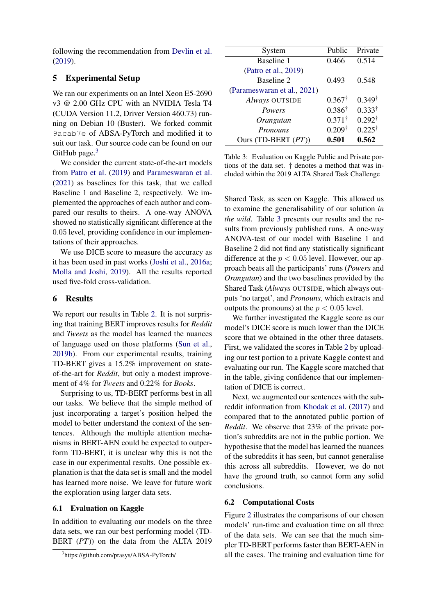following the recommendation from [Devlin et al.](#page-5-6) [\(2019\)](#page-5-6).

# 5 Experimental Setup

We ran our experiments on an Intel Xeon E5-2690 v3 @ 2.00 GHz CPU with an NVIDIA Tesla T4 (CUDA Version 11.2, Driver Version 460.73) running on Debian 10 (Buster). We forked commit 9acab7e of ABSA-PyTorch and modified it to suit our task. Our source code can be found on our GitHub page. $3$ 

We consider the current state-of-the-art models from [Patro et al.](#page-6-1) [\(2019\)](#page-6-1) and [Parameswaran et al.](#page-6-3) [\(2021\)](#page-6-3) as baselines for this task, that we called Baseline 1 and Baseline 2, respectively. We implemented the approaches of each author and compared our results to theirs. A one-way ANOVA showed no statistically significant difference at the 0.05 level, providing confidence in our implementations of their approaches.

We use DICE score to measure the accuracy as it has been used in past works [\(Joshi et al.,](#page-5-3) [2016a;](#page-5-3) [Molla and Joshi,](#page-6-2) [2019\)](#page-6-2). All the results reported used five-fold cross-validation.

# 6 Results

We report our results in Table [2.](#page-2-0) It is not surprising that training BERT improves results for *Reddit* and *Tweets* as the model has learned the nuances of language used on those platforms [\(Sun et al.,](#page-6-9) [2019b\)](#page-6-9). From our experimental results, training TD-BERT gives a 15.2% improvement on stateof-the-art for *Reddit*, but only a modest improvement of 4% for *Tweets* and 0.22% for *Books*.

Surprising to us, TD-BERT performs best in all our tasks. We believe that the simple method of just incorporating a target's position helped the model to better understand the context of the sentences. Although the multiple attention mechanisms in BERT-AEN could be expected to outperform TD-BERT, it is unclear why this is not the case in our experimental results. One possible explanation is that the data set is small and the model has learned more noise. We leave for future work the exploration using larger data sets.

## 6.1 Evaluation on Kaggle

In addition to evaluating our models on the three data sets, we ran our best performing model (TD-BERT (*PT*)) on the data from the ALTA 2019

<span id="page-3-1"></span>

| System                      | Public            | Private           |
|-----------------------------|-------------------|-------------------|
| Baseline 1                  | 0.466             | 0.514             |
| (Patro et al., 2019)        |                   |                   |
| Baseline 2                  | 0.493             | 0.548             |
| (Parameswaran et al., 2021) |                   |                   |
| Always OUTSIDE              | $0.367^{\dagger}$ | $0.349^{\dagger}$ |
| Powers                      | $0.386^{\dagger}$ | $0.333^{\dagger}$ |
| Orangutan                   | $0.371^{\dagger}$ | $0.292^{\dagger}$ |
| Pronouns                    | $0.209^{\dagger}$ | $0.225^{\dagger}$ |
| Ours (TD-BERT (PT))         | 0.501             | 0.562             |

Table 3: Evaluation on Kaggle Public and Private portions of the data set. † denotes a method that was included within the 2019 ALTA Shared Task Challenge

Shared Task, as seen on Kaggle. This allowed us to examine the generalisability of our solution *in the wild*. Table [3](#page-3-1) presents our results and the results from previously published runs. A one-way ANOVA-test of our model with Baseline 1 and Baseline 2 did not find any statistically significant difference at the  $p < 0.05$  level. However, our approach beats all the participants' runs (*Powers* and *Orangutan*) and the two baselines provided by the Shared Task (*Always* OUTSIDE, which always outputs 'no target', and *Pronouns*, which extracts and outputs the pronouns) at the  $p < 0.05$  level.

We further investigated the Kaggle score as our model's DICE score is much lower than the DICE score that we obtained in the other three datasets. First, we validated the scores in Table [2](#page-2-0) by uploading our test portion to a private Kaggle contest and evaluating our run. The Kaggle score matched that in the table, giving confidence that our implementation of DICE is correct.

Next, we augmented our sentences with the subreddit information from [Khodak et al.](#page-5-21) [\(2017\)](#page-5-21) and compared that to the annotated public portion of *Reddit*. We observe that 23% of the private portion's subreddits are not in the public portion. We hypothesise that the model has learned the nuances of the subreddits it has seen, but cannot generalise this across all subreddits. However, we do not have the ground truth, so cannot form any solid conclusions.

# 6.2 Computational Costs

Figure [2](#page-4-2) illustrates the comparisons of our chosen models' run-time and evaluation time on all three of the data sets. We can see that the much simpler TD-BERT performs faster than BERT-AEN in all the cases. The training and evaluation time for

<span id="page-3-0"></span><sup>3</sup> https://github.com/prasys/ABSA-PyTorch/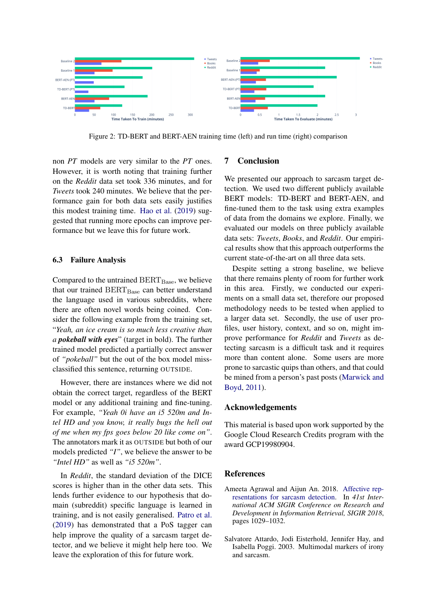<span id="page-4-2"></span>

Figure 2: TD-BERT and BERT-AEN training time (left) and run time (right) comparison

non *PT* models are very similar to the *PT* ones. However, it is worth noting that training further on the *Reddit* data set took 336 minutes, and for *Tweets* took 240 minutes. We believe that the performance gain for both data sets easily justifies this modest training time. [Hao et al.](#page-5-22) [\(2019\)](#page-5-22) suggested that running more epochs can improve performance but we leave this for future work.

## 6.3 Failure Analysis

Compared to the untrained  $BERT_{Base}$ , we believe that our trained  $\text{BERT}_{\text{Base}}$  can better understand the language used in various subreddits, where there are often novel words being coined. Consider the following example from the training set, "*Yeah, an ice cream is so much less creative than a pokeball with eyes*" (target in bold). The further trained model predicted a partially correct answer of *"pokeball"* but the out of the box model missclassified this sentence, returning OUTSIDE.

However, there are instances where we did not obtain the correct target, regardless of the BERT model or any additional training and fine-tuning. For example, *"Yeah 0i have an i5 520m and Intel HD and you know, it really bugs the hell out of me when my fps goes below 20 like come on"*. The annotators mark it as OUTSIDE but both of our models predicted *"I"*, we believe the answer to be *"Intel HD"* as well as *"i5 520m"*.

In *Reddit*, the standard deviation of the DICE scores is higher than in the other data sets. This lends further evidence to our hypothesis that domain (subreddit) specific language is learned in training, and is not easily generalised. [Patro et al.](#page-6-1) [\(2019\)](#page-6-1) has demonstrated that a PoS tagger can help improve the quality of a sarcasm target detector, and we believe it might help here too. We leave the exploration of this for future work.

# 7 Conclusion

We presented our approach to sarcasm target detection. We used two different publicly available BERT models: TD-BERT and BERT-AEN, and fine-tuned them to the task using extra examples of data from the domains we explore. Finally, we evaluated our models on three publicly available data sets: *Tweets*, *Books*, and *Reddit*. Our empirical results show that this approach outperforms the current state-of-the-art on all three data sets.

Despite setting a strong baseline, we believe that there remains plenty of room for further work in this area. Firstly, we conducted our experiments on a small data set, therefore our proposed methodology needs to be tested when applied to a larger data set. Secondly, the use of user profiles, user history, context, and so on, might improve performance for *Reddit* and *Tweets* as detecting sarcasm is a difficult task and it requires more than content alone. Some users are more prone to sarcastic quips than others, and that could be mined from a person's past posts [\(Marwick and](#page-5-23) [Boyd,](#page-5-23) [2011\)](#page-5-23).

#### Acknowledgements

This material is based upon work supported by the Google Cloud Research Credits program with the award GCP19980904.

#### References

- <span id="page-4-1"></span>Ameeta Agrawal and Aijun An. 2018. [Affective rep](https://doi.org/10.1145/3209978.3210148)[resentations for sarcasm detection.](https://doi.org/10.1145/3209978.3210148) In *41st International ACM SIGIR Conference on Research and Development in Information Retrieval, SIGIR 2018*, pages 1029–1032.
- <span id="page-4-0"></span>Salvatore Attardo, Jodi Eisterhold, Jennifer Hay, and Isabella Poggi. 2003. Multimodal markers of irony and sarcasm.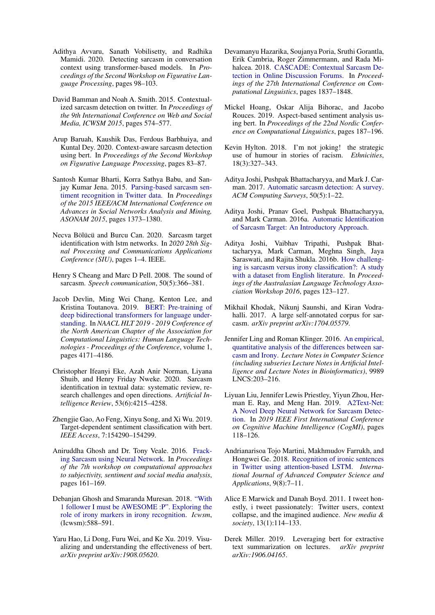- <span id="page-5-17"></span>Adithya Avvaru, Sanath Vobilisetty, and Radhika Mamidi. 2020. Detecting sarcasm in conversation context using transformer-based models. In *Proceedings of the Second Workshop on Figurative Language Processing*, pages 98–103.
- <span id="page-5-8"></span>David Bamman and Noah A. Smith. 2015. Contextualized sarcasm detection on twitter. In *Proceedings of the 9th International Conference on Web and Social Media, ICWSM 2015*, pages 574–577.
- <span id="page-5-16"></span>Arup Baruah, Kaushik Das, Ferdous Barbhuiya, and Kuntal Dey. 2020. Context-aware sarcasm detection using bert. In *Proceedings of the Second Workshop on Figurative Language Processing*, pages 83–87.
- <span id="page-5-9"></span>Santosh Kumar Bharti, Korra Sathya Babu, and Sanjay Kumar Jena. 2015. [Parsing-based sarcasm sen](https://doi.org/10.1145/2808797.2808910)[timent recognition in Twitter data.](https://doi.org/10.1145/2808797.2808910) In *Proceedings of the 2015 IEEE/ACM International Conference on Advances in Social Networks Analysis and Mining, ASONAM 2015*, pages 1373–1380.
- <span id="page-5-5"></span>Necva Bölücü and Burcu Can. 2020. Sarcasm target identification with lstm networks. In *2020 28th Signal Processing and Communications Applications Conference (SIU)*, pages 1–4. IEEE.
- <span id="page-5-0"></span>Henry S Cheang and Marc D Pell. 2008. The sound of sarcasm. *Speech communication*, 50(5):366–381.
- <span id="page-5-6"></span>Jacob Devlin, Ming Wei Chang, Kenton Lee, and Kristina Toutanova. 2019. [BERT: Pre-training of](http://arxiv.org/abs/1810.04805) [deep bidirectional transformers for language under](http://arxiv.org/abs/1810.04805)[standing.](http://arxiv.org/abs/1810.04805) In *NAACL HLT 2019 - 2019 Conference of the North American Chapter of the Association for Computational Linguistics: Human Language Technologies - Proceedings of the Conference*, volume 1, pages 4171–4186.
- <span id="page-5-1"></span>Christopher Ifeanyi Eke, Azah Anir Norman, Liyana Shuib, and Henry Friday Nweke. 2020. Sarcasm identification in textual data: systematic review, research challenges and open directions. *Artificial Intelligence Review*, 53(6):4215–4258.
- <span id="page-5-20"></span>Zhengjie Gao, Ao Feng, Xinyu Song, and Xi Wu. 2019. Target-dependent sentiment classification with bert. *IEEE Access*, 7:154290–154299.
- <span id="page-5-12"></span>Aniruddha Ghosh and Dr. Tony Veale. 2016. [Frack](https://doi.org/10.18653/v1/w16-0425)[ing Sarcasm using Neural Network.](https://doi.org/10.18653/v1/w16-0425) In *Proceedings of the 7th workshop on computational approaches to subjectivity, sentiment and social media analysis*, pages 161–169.
- <span id="page-5-11"></span>Debanjan Ghosh and Smaranda Muresan. 2018. ["With](http://arxiv.org/abs/1804.05253) [1 follower I must be AWESOME :P". Exploring the](http://arxiv.org/abs/1804.05253) [role of irony markers in irony recognition.](http://arxiv.org/abs/1804.05253) *Icwsm*, (Icwsm):588–591.
- <span id="page-5-22"></span>Yaru Hao, Li Dong, Furu Wei, and Ke Xu. 2019. Visualizing and understanding the effectiveness of bert. *arXiv preprint arXiv:1908.05620*.
- <span id="page-5-13"></span>Devamanyu Hazarika, Soujanya Poria, Sruthi Gorantla, Erik Cambria, Roger Zimmermann, and Rada Mihalcea. 2018. [CASCADE: Contextual Sarcasm De](http://arxiv.org/abs/1805.06413)[tection in Online Discussion Forums.](http://arxiv.org/abs/1805.06413) In *Proceedings of the 27th International Conference on Computational Linguistics*, pages 1837–1848.
- <span id="page-5-19"></span>Mickel Hoang, Oskar Alija Bihorac, and Jacobo Rouces. 2019. Aspect-based sentiment analysis using bert. In *Proceedings of the 22nd Nordic Conference on Computational Linguistics*, pages 187–196.
- <span id="page-5-4"></span>Kevin Hylton. 2018. I'm not joking! the strategic use of humour in stories of racism. *Ethnicities*, 18(3):327–343.
- <span id="page-5-2"></span>Aditya Joshi, Pushpak Bhattacharyya, and Mark J. Carman. 2017. [Automatic sarcasm detection: A survey.](https://doi.org/10.1145/3124420) *ACM Computing Surveys*, 50(5):1–22.
- <span id="page-5-3"></span>Aditya Joshi, Pranav Goel, Pushpak Bhattacharyya, and Mark Carman. 2016a. [Automatic Identification](http://arxiv.org/abs/1610.07091) [of Sarcasm Target: An Introductory Approach.](http://arxiv.org/abs/1610.07091)
- <span id="page-5-18"></span>Aditya Joshi, Vaibhav Tripathi, Pushpak Bhattacharyya, Mark Carman, Meghna Singh, Jaya Saraswati, and Rajita Shukla. 2016b. [How challeng](https://www.aclweb.org/anthology/U16-1013)[ing is sarcasm versus irony classification?: A study](https://www.aclweb.org/anthology/U16-1013) [with a dataset from English literature.](https://www.aclweb.org/anthology/U16-1013) In *Proceedings of the Australasian Language Technology Association Workshop 2016*, pages 123–127.
- <span id="page-5-21"></span>Mikhail Khodak, Nikunj Saunshi, and Kiran Vodrahalli. 2017. A large self-annotated corpus for sarcasm. *arXiv preprint arXiv:1704.05579*.
- <span id="page-5-10"></span>Jennifer Ling and Roman Klinger. 2016. [An empirical,](https://doi.org/10.1007/978-3-319-47602-5{_}39) [quantitative analysis of the differences between sar](https://doi.org/10.1007/978-3-319-47602-5{_}39)[casm and Irony.](https://doi.org/10.1007/978-3-319-47602-5{_}39) *Lecture Notes in Computer Science (including subseries Lecture Notes in Artificial Intelligence and Lecture Notes in Bioinformatics)*, 9989 LNCS:203–216.
- <span id="page-5-15"></span>Liyuan Liu, Jennifer Lewis Priestley, Yiyun Zhou, Herman E. Ray, and Meng Han. 2019. [A2Text-Net:](https://doi.org/10.1109/cogmi48466.2019.00025) [A Novel Deep Neural Network for Sarcasm Detec](https://doi.org/10.1109/cogmi48466.2019.00025)[tion.](https://doi.org/10.1109/cogmi48466.2019.00025) In *2019 IEEE First International Conference on Cognitive Machine Intelligence (CogMI)*, pages 118–126.
- <span id="page-5-14"></span>Andrianarisoa Tojo Martini, Makhmudov Farrukh, and Hongwei Ge. 2018. [Recognition of ironic sentences](https://doi.org/10.14569/ijacsa.2018.090802) [in Twitter using attention-based LSTM.](https://doi.org/10.14569/ijacsa.2018.090802) *International Journal of Advanced Computer Science and Applications*, 9(8):7–11.
- <span id="page-5-23"></span>Alice E Marwick and Danah Boyd. 2011. I tweet honestly, i tweet passionately: Twitter users, context collapse, and the imagined audience. *New media & society*, 13(1):114–133.
- <span id="page-5-7"></span>Derek Miller. 2019. Leveraging bert for extractive text summarization on lectures. *arXiv preprint arXiv:1906.04165*.